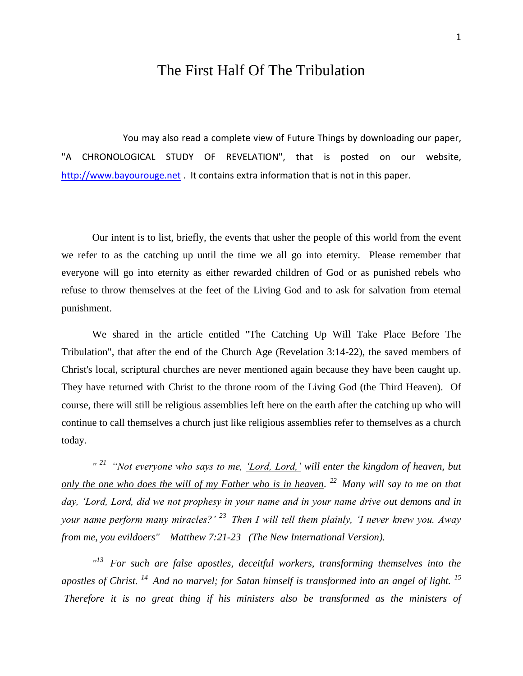## The First Half Of The Tribulation

You may also read a complete view of Future Things by downloading our paper, "A CHRONOLOGICAL STUDY OF REVELATION", that is posted on our website, [http://www.bayourouge.net](http://www.bayourouge.net/) . It contains extra information that is not in this paper.

Our intent is to list, briefly, the events that usher the people of this world from the event we refer to as the catching up until the time we all go into eternity. Please remember that everyone will go into eternity as either rewarded children of God or as punished rebels who refuse to throw themselves at the feet of the Living God and to ask for salvation from eternal punishment.

We shared in the article entitled "The Catching Up Will Take Place Before The Tribulation", that after the end of the Church Age (Revelation 3:14-22), the saved members of Christ's local, scriptural churches are never mentioned again because they have been caught up. They have returned with Christ to the throne room of the Living God (the Third Heaven). Of course, there will still be religious assemblies left here on the earth after the catching up who will continue to call themselves a church just like religious assemblies refer to themselves as a church today.

*" <sup>21</sup>"Not everyone who says to me, 'Lord, Lord,' will enter the kingdom of heaven, but only the one who does the will of my Father who is in heaven. <sup>22</sup>Many will say to me on that day, 'Lord, Lord, did we not prophesy in your name and in your name drive out demons and in your name perform many miracles?' <sup>23</sup>Then I will tell them plainly, 'I never knew you. Away from me, you evildoers" Matthew 7:21-23 (The New International Version).*

*" <sup>13</sup>For such are false apostles, deceitful workers, transforming themselves into the apostles of Christ. <sup>14</sup>And no marvel; for Satan himself is transformed into an angel of light. <sup>15</sup> Therefore it is no great thing if his ministers also be transformed as the ministers of*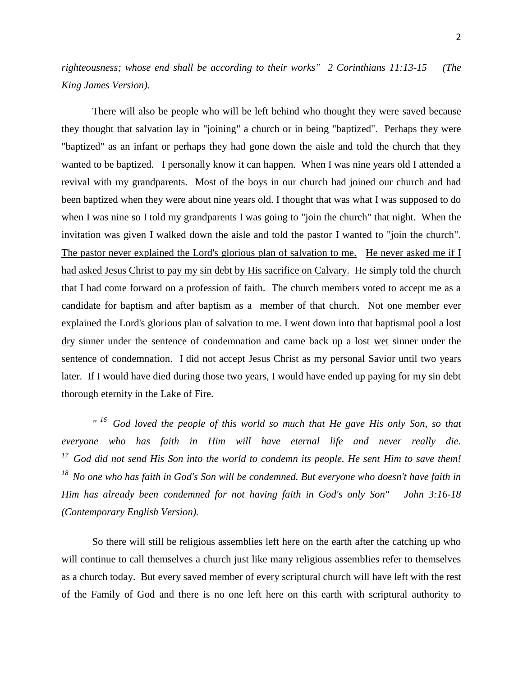*righteousness; whose end shall be according to their works" 2 Corinthians 11:13-15 (The King James Version).*

There will also be people who will be left behind who thought they were saved because they thought that salvation lay in "joining" a church or in being "baptized". Perhaps they were "baptized" as an infant or perhaps they had gone down the aisle and told the church that they wanted to be baptized. I personally know it can happen. When I was nine years old I attended a revival with my grandparents. Most of the boys in our church had joined our church and had been baptized when they were about nine years old. I thought that was what I was supposed to do when I was nine so I told my grandparents I was going to "join the church" that night. When the invitation was given I walked down the aisle and told the pastor I wanted to "join the church". The pastor never explained the Lord's glorious plan of salvation to me. He never asked me if I had asked Jesus Christ to pay my sin debt by His sacrifice on Calvary. He simply told the church that I had come forward on a profession of faith. The church members voted to accept me as a candidate for baptism and after baptism as a member of that church. Not one member ever explained the Lord's glorious plan of salvation to me. I went down into that baptismal pool a lost dry sinner under the sentence of condemnation and came back up a lost wet sinner under the sentence of condemnation. I did not accept Jesus Christ as my personal Savior until two years later. If I would have died during those two years, I would have ended up paying for my sin debt thorough eternity in the Lake of Fire.

*" <sup>16</sup>God loved the people of this world so much that He gave His only Son, so that everyone who has faith in Him will have eternal life and never really die. <sup>17</sup>God did not send His Son into the world to condemn its people. He sent Him to save them! <sup>18</sup>No one who has faith in God's Son will be condemned. But everyone who doesn't have faith in Him has already been condemned for not having faith in God's only Son" John 3:16-18 (Contemporary English Version).*

So there will still be religious assemblies left here on the earth after the catching up who will continue to call themselves a church just like many religious assemblies refer to themselves as a church today. But every saved member of every scriptural church will have left with the rest of the Family of God and there is no one left here on this earth with scriptural authority to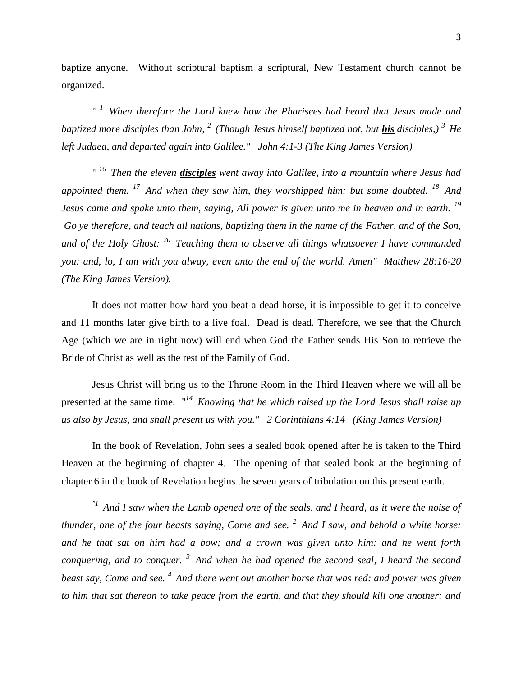baptize anyone. Without scriptural baptism a scriptural, New Testament church cannot be organized.

*" <sup>1</sup>When therefore the Lord knew how the Pharisees had heard that Jesus made and baptized more disciples than John, <sup>2</sup>(Though Jesus himself baptized not, but his disciples,) <sup>3</sup>He left Judaea, and departed again into Galilee." John 4:1-3 (The King James Version)* 

<sup>" 16</sup> Then the eleven *disciples* went away into Galilee, into a mountain where Jesus had *appointed them. <sup>17</sup>And when they saw him, they worshipped him: but some doubted. <sup>18</sup>And Jesus came and spake unto them, saying, All power is given unto me in heaven and in earth. <sup>19</sup> Go ye therefore, and teach all nations, baptizing them in the name of the Father, and of the Son, and of the Holy Ghost: <sup>20</sup>Teaching them to observe all things whatsoever I have commanded you: and, lo, I am with you alway, even unto the end of the world. Amen" Matthew 28:16-20 (The King James Version).*

It does not matter how hard you beat a dead horse, it is impossible to get it to conceive and 11 months later give birth to a live foal. Dead is dead. Therefore, we see that the Church Age (which we are in right now) will end when God the Father sends His Son to retrieve the Bride of Christ as well as the rest of the Family of God.

Jesus Christ will bring us to the Throne Room in the Third Heaven where we will all be presented at the same time. " *<sup>14</sup>Knowing that he which raised up the Lord Jesus shall raise up us also by Jesus, and shall present us with you." 2 Corinthians 4:14 (King James Version)*

In the book of Revelation, John sees a sealed book opened after he is taken to the Third Heaven at the beginning of chapter 4. The opening of that sealed book at the beginning of chapter 6 in the book of Revelation begins the seven years of tribulation on this present earth.

*"1 And I saw when the Lamb opened one of the seals, and I heard, as it were the noise of thunder, one of the four beasts saying, Come and see. <sup>2</sup>And I saw, and behold a white horse: and he that sat on him had a bow; and a crown was given unto him: and he went forth conquering, and to conquer. <sup>3</sup>And when he had opened the second seal, I heard the second beast say, Come and see. <sup>4</sup>And there went out another horse that was red: and power was given to him that sat thereon to take peace from the earth, and that they should kill one another: and*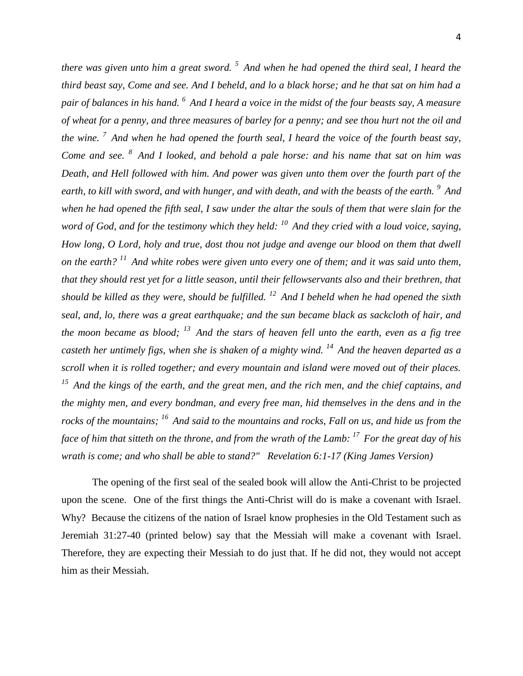*there was given unto him a great sword. <sup>5</sup>And when he had opened the third seal, I heard the third beast say, Come and see. And I beheld, and lo a black horse; and he that sat on him had a pair of balances in his hand. <sup>6</sup>And I heard a voice in the midst of the four beasts say, A measure of wheat for a penny, and three measures of barley for a penny; and see thou hurt not the oil and the wine. <sup>7</sup>And when he had opened the fourth seal, I heard the voice of the fourth beast say, Come and see. <sup>8</sup>And I looked, and behold a pale horse: and his name that sat on him was Death, and Hell followed with him. And power was given unto them over the fourth part of the earth, to kill with sword, and with hunger, and with death, and with the beasts of the earth. <sup>9</sup>And when he had opened the fifth seal, I saw under the altar the souls of them that were slain for the word of God, and for the testimony which they held: <sup>10</sup>And they cried with a loud voice, saying, How long, O Lord, holy and true, dost thou not judge and avenge our blood on them that dwell on the earth? <sup>11</sup>And white robes were given unto every one of them; and it was said unto them, that they should rest yet for a little season, until their fellowservants also and their brethren, that should be killed as they were, should be fulfilled. <sup>12</sup>And I beheld when he had opened the sixth seal, and, lo, there was a great earthquake; and the sun became black as sackcloth of hair, and the moon became as blood; <sup>13</sup>And the stars of heaven fell unto the earth, even as a fig tree casteth her untimely figs, when she is shaken of a mighty wind. <sup>14</sup>And the heaven departed as a scroll when it is rolled together; and every mountain and island were moved out of their places. <sup>15</sup>And the kings of the earth, and the great men, and the rich men, and the chief captains, and the mighty men, and every bondman, and every free man, hid themselves in the dens and in the rocks of the mountains; <sup>16</sup>And said to the mountains and rocks, Fall on us, and hide us from the face of him that sitteth on the throne, and from the wrath of the Lamb: <sup>17</sup>For the great day of his wrath is come; and who shall be able to stand?" Revelation 6:1-17 (King James Version)*

The opening of the first seal of the sealed book will allow the Anti-Christ to be projected upon the scene. One of the first things the Anti-Christ will do is make a covenant with Israel. Why? Because the citizens of the nation of Israel know prophesies in the Old Testament such as Jeremiah 31:27-40 (printed below) say that the Messiah will make a covenant with Israel. Therefore, they are expecting their Messiah to do just that. If he did not, they would not accept him as their Messiah.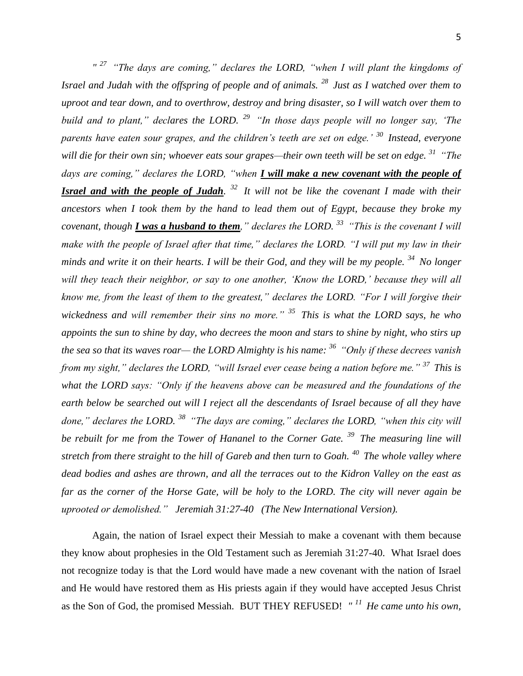*" <sup>27</sup>"The days are coming," declares the LORD, "when I will plant the kingdoms of Israel and Judah with the offspring of people and of animals. <sup>28</sup>Just as I watched over them to uproot and tear down, and to overthrow, destroy and bring disaster, so I will watch over them to build and to plant," declares the LORD. <sup>29</sup>"In those days people will no longer say, 'The parents have eaten sour grapes, and the children's teeth are set on edge.' <sup>30</sup>Instead, everyone will die for their own sin; whoever eats sour grapes—their own teeth will be set on edge. <sup>31</sup>"The days are coming," declares the LORD, "when I will make a new covenant with the people of Israel and with the people of Judah. <sup>32</sup>It will not be like the covenant I made with their ancestors when I took them by the hand to lead them out of Egypt, because they broke my covenant, though I was a husband to them," declares the LORD. <sup>33</sup>"This is the covenant I will make with the people of Israel after that time," declares the LORD. "I will put my law in their minds and write it on their hearts. I will be their God, and they will be my people. <sup>34</sup>No longer will they teach their neighbor, or say to one another, 'Know the LORD,' because they will all know me, from the least of them to the greatest," declares the LORD. "For I will forgive their wickedness and will remember their sins no more." <sup>35</sup>This is what the LORD says, he who appoints the sun to shine by day, who decrees the moon and stars to shine by night, who stirs up the sea so that its waves roar— the LORD Almighty is his name: <sup>36</sup>"Only if these decrees vanish from my sight," declares the LORD, "will Israel ever cease being a nation before me." <sup>37</sup>This is what the LORD says: "Only if the heavens above can be measured and the foundations of the earth below be searched out will I reject all the descendants of Israel because of all they have done," declares the LORD. <sup>38</sup>"The days are coming," declares the LORD, "when this city will be rebuilt for me from the Tower of Hananel to the Corner Gate. <sup>39</sup>The measuring line will stretch from there straight to the hill of Gareb and then turn to Goah. <sup>40</sup>The whole valley where dead bodies and ashes are thrown, and all the terraces out to the Kidron Valley on the east as*  far as the corner of the Horse Gate, will be holy to the LORD. The city will never again be *uprooted or demolished." Jeremiah 31:27-40 (The New International Version).*

Again, the nation of Israel expect their Messiah to make a covenant with them because they know about prophesies in the Old Testament such as Jeremiah 31:27-40. What Israel does not recognize today is that the Lord would have made a new covenant with the nation of Israel and He would have restored them as His priests again if they would have accepted Jesus Christ as the Son of God, the promised Messiah. BUT THEY REFUSED! *" <sup>11</sup>He came unto his own,*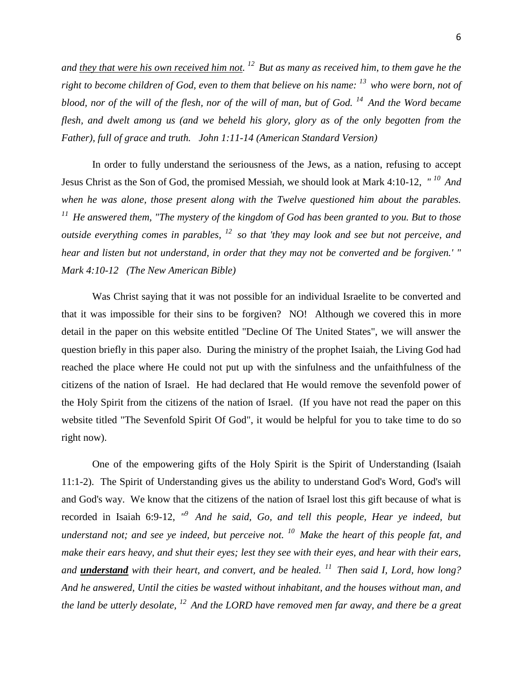*and they that were his own received him not. <sup>12</sup>But as many as received him, to them gave he the right to become children of God, even to them that believe on his name: <sup>13</sup>who were born, not of blood, nor of the will of the flesh, nor of the will of man, but of God. <sup>14</sup>And the Word became flesh, and dwelt among us (and we beheld his glory, glory as of the only begotten from the Father), full of grace and truth. John 1:11-14 (American Standard Version)* 

In order to fully understand the seriousness of the Jews, as a nation, refusing to accept Jesus Christ as the Son of God, the promised Messiah, we should look at Mark 4:10-12, *" <sup>10</sup>And when he was alone, those present along with the Twelve questioned him about the parables. <sup>11</sup>He answered them, "The mystery of the kingdom of God has been granted to you. But to those outside everything comes in parables, <sup>12</sup>so that 'they may look and see but not perceive, and hear and listen but not understand, in order that they may not be converted and be forgiven.' " Mark 4:10-12 (The New American Bible)* 

Was Christ saying that it was not possible for an individual Israelite to be converted and that it was impossible for their sins to be forgiven? NO! Although we covered this in more detail in the paper on this website entitled "Decline Of The United States", we will answer the question briefly in this paper also. During the ministry of the prophet Isaiah, the Living God had reached the place where He could not put up with the sinfulness and the unfaithfulness of the citizens of the nation of Israel. He had declared that He would remove the sevenfold power of the Holy Spirit from the citizens of the nation of Israel. (If you have not read the paper on this website titled "The Sevenfold Spirit Of God", it would be helpful for you to take time to do so right now).

One of the empowering gifts of the Holy Spirit is the Spirit of Understanding (Isaiah 11:1-2). The Spirit of Understanding gives us the ability to understand God's Word, God's will and God's way. We know that the citizens of the nation of Israel lost this gift because of what is recorded in Isaiah 6:9-12, "<sup>9</sup> And he said, Go, and tell this people, Hear ye indeed, but *understand not; and see ye indeed, but perceive not. <sup>10</sup>Make the heart of this people fat, and make their ears heavy, and shut their eyes; lest they see with their eyes, and hear with their ears, and understand with their heart, and convert, and be healed. <sup>11</sup>Then said I, Lord, how long? And he answered, Until the cities be wasted without inhabitant, and the houses without man, and the land be utterly desolate, <sup>12</sup>And the LORD have removed men far away, and there be a great*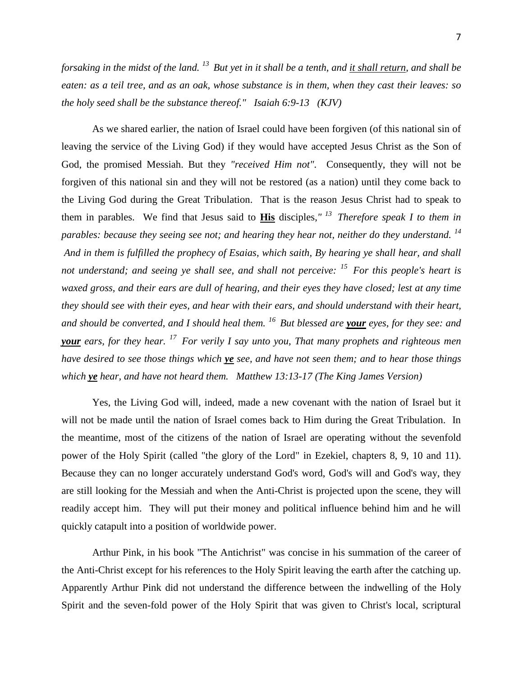*forsaking in the midst of the land. <sup>13</sup>But yet in it shall be a tenth, and it shall return, and shall be eaten: as a teil tree, and as an oak, whose substance is in them, when they cast their leaves: so the holy seed shall be the substance thereof." Isaiah 6:9-13 (KJV)*

As we shared earlier, the nation of Israel could have been forgiven (of this national sin of leaving the service of the Living God) if they would have accepted Jesus Christ as the Son of God, the promised Messiah. But they *"received Him not".* Consequently, they will not be forgiven of this national sin and they will not be restored (as a nation) until they come back to the Living God during the Great Tribulation. That is the reason Jesus Christ had to speak to them in parables. We find that Jesus said to **His** disciples,*" <sup>13</sup>Therefore speak I to them in parables: because they seeing see not; and hearing they hear not, neither do they understand. <sup>14</sup> And in them is fulfilled the prophecy of Esaias, which saith, By hearing ye shall hear, and shall not understand; and seeing ye shall see, and shall not perceive: <sup>15</sup>For this people's heart is waxed gross, and their ears are dull of hearing, and their eyes they have closed; lest at any time they should see with their eyes, and hear with their ears, and should understand with their heart, and should be converted, and I should heal them. <sup>16</sup>But blessed are your eyes, for they see: and your ears, for they hear. <sup>17</sup>For verily I say unto you, That many prophets and righteous men have desired to see those things which ye see, and have not seen them; and to hear those things which ye hear, and have not heard them. Matthew 13:13-17 (The King James Version)* 

Yes, the Living God will, indeed, made a new covenant with the nation of Israel but it will not be made until the nation of Israel comes back to Him during the Great Tribulation. In the meantime, most of the citizens of the nation of Israel are operating without the sevenfold power of the Holy Spirit (called "the glory of the Lord" in Ezekiel, chapters 8, 9, 10 and 11). Because they can no longer accurately understand God's word, God's will and God's way, they are still looking for the Messiah and when the Anti-Christ is projected upon the scene, they will readily accept him. They will put their money and political influence behind him and he will quickly catapult into a position of worldwide power.

Arthur Pink, in his book "The Antichrist" was concise in his summation of the career of the Anti-Christ except for his references to the Holy Spirit leaving the earth after the catching up. Apparently Arthur Pink did not understand the difference between the indwelling of the Holy Spirit and the seven-fold power of the Holy Spirit that was given to Christ's local, scriptural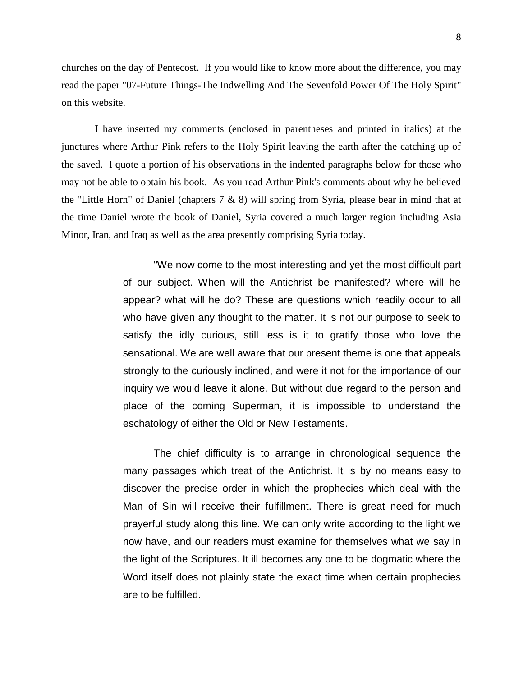churches on the day of Pentecost. If you would like to know more about the difference, you may read the paper "07-Future Things-The Indwelling And The Sevenfold Power Of The Holy Spirit" on this website.

I have inserted my comments (enclosed in parentheses and printed in italics) at the junctures where Arthur Pink refers to the Holy Spirit leaving the earth after the catching up of the saved. I quote a portion of his observations in the indented paragraphs below for those who may not be able to obtain his book. As you read Arthur Pink's comments about why he believed the "Little Horn" of Daniel (chapters  $7 \& 8$ ) will spring from Syria, please bear in mind that at the time Daniel wrote the book of Daniel, Syria covered a much larger region including Asia Minor, Iran, and Iraq as well as the area presently comprising Syria today.

> "We now come to the most interesting and yet the most difficult part of our subject. When will the Antichrist be manifested? where will he appear? what will he do? These are questions which readily occur to all who have given any thought to the matter. It is not our purpose to seek to satisfy the idly curious, still less is it to gratify those who love the sensational. We are well aware that our present theme is one that appeals strongly to the curiously inclined, and were it not for the importance of our inquiry we would leave it alone. But without due regard to the person and place of the coming Superman, it is impossible to understand the eschatology of either the Old or New Testaments.

> The chief difficulty is to arrange in chronological sequence the many passages which treat of the Antichrist. It is by no means easy to discover the precise order in which the prophecies which deal with the Man of Sin will receive their fulfillment. There is great need for much prayerful study along this line. We can only write according to the light we now have, and our readers must examine for themselves what we say in the light of the Scriptures. It ill becomes any one to be dogmatic where the Word itself does not plainly state the exact time when certain prophecies are to be fulfilled.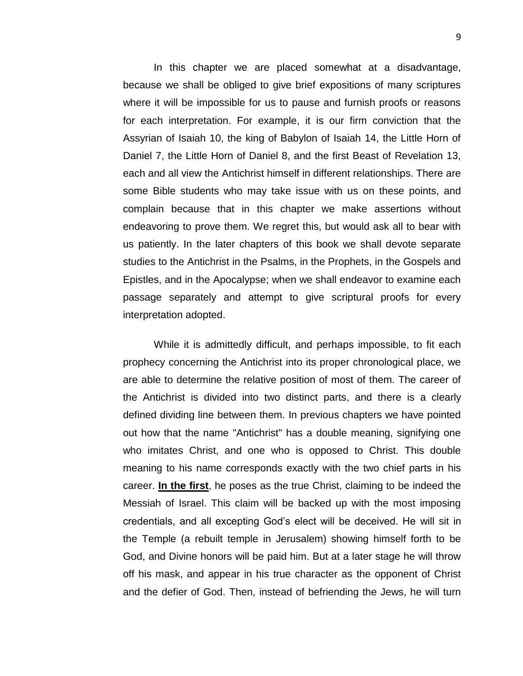In this chapter we are placed somewhat at a disadvantage, because we shall be obliged to give brief expositions of many scriptures where it will be impossible for us to pause and furnish proofs or reasons for each interpretation. For example, it is our firm conviction that the Assyrian of Isaiah 10, the king of Babylon of Isaiah 14, the Little Horn of Daniel 7, the Little Horn of Daniel 8, and the first Beast of Revelation 13, each and all view the Antichrist himself in different relationships. There are some Bible students who may take issue with us on these points, and complain because that in this chapter we make assertions without endeavoring to prove them. We regret this, but would ask all to bear with us patiently. In the later chapters of this book we shall devote separate studies to the Antichrist in the Psalms, in the Prophets, in the Gospels and Epistles, and in the Apocalypse; when we shall endeavor to examine each passage separately and attempt to give scriptural proofs for every interpretation adopted.

While it is admittedly difficult, and perhaps impossible, to fit each prophecy concerning the Antichrist into its proper chronological place, we are able to determine the relative position of most of them. The career of the Antichrist is divided into two distinct parts, and there is a clearly defined dividing line between them. In previous chapters we have pointed out how that the name "Antichrist" has a double meaning, signifying one who imitates Christ, and one who is opposed to Christ. This double meaning to his name corresponds exactly with the two chief parts in his career. **In the first**, he poses as the true Christ, claiming to be indeed the Messiah of Israel. This claim will be backed up with the most imposing credentials, and all excepting God's elect will be deceived. He will sit in the Temple (a rebuilt temple in Jerusalem) showing himself forth to be God, and Divine honors will be paid him. But at a later stage he will throw off his mask, and appear in his true character as the opponent of Christ and the defier of God. Then, instead of befriending the Jews, he will turn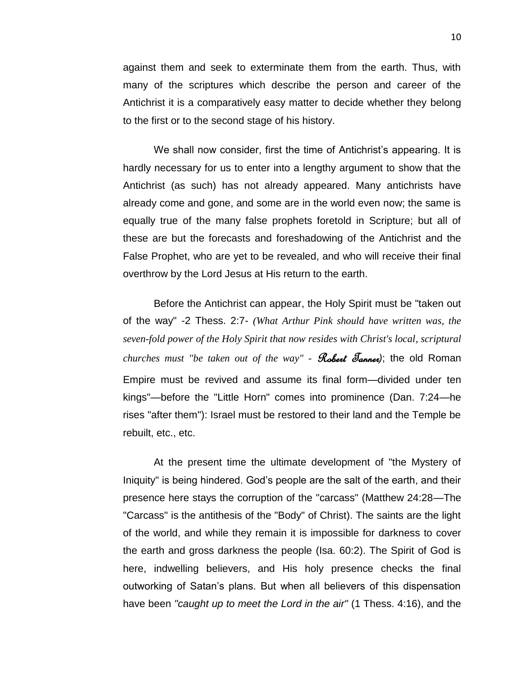against them and seek to exterminate them from the earth. Thus, with many of the scriptures which describe the person and career of the Antichrist it is a comparatively easy matter to decide whether they belong to the first or to the second stage of his history.

We shall now consider, first the time of Antichrist's appearing. It is hardly necessary for us to enter into a lengthy argument to show that the Antichrist (as such) has not already appeared. Many antichrists have already come and gone, and some are in the world even now; the same is equally true of the many false prophets foretold in Scripture; but all of these are but the forecasts and foreshadowing of the Antichrist and the False Prophet, who are yet to be revealed, and who will receive their final overthrow by the Lord Jesus at His return to the earth.

Before the Antichrist can appear, the Holy Spirit must be "taken out of the way" -2 Thess. 2:7- *(What Arthur Pink should have written was, the seven-fold power of the Holy Spirit that now resides with Christ's local, scriptural churches must "be taken out of the way" -* Robert Tanner*)*; the old Roman Empire must be revived and assume its final form—divided under ten kings"—before the "Little Horn" comes into prominence (Dan. 7:24—he rises "after them"): Israel must be restored to their land and the Temple be rebuilt, etc., etc.

At the present time the ultimate development of "the Mystery of Iniquity" is being hindered. God's people are the salt of the earth, and their presence here stays the corruption of the "carcass" (Matthew 24:28—The "Carcass" is the antithesis of the "Body" of Christ). The saints are the light of the world, and while they remain it is impossible for darkness to cover the earth and gross darkness the people (Isa. 60:2). The Spirit of God is here, indwelling believers, and His holy presence checks the final outworking of Satan's plans. But when all believers of this dispensation have been *"caught up to meet the Lord in the air"* (1 Thess. 4:16), and the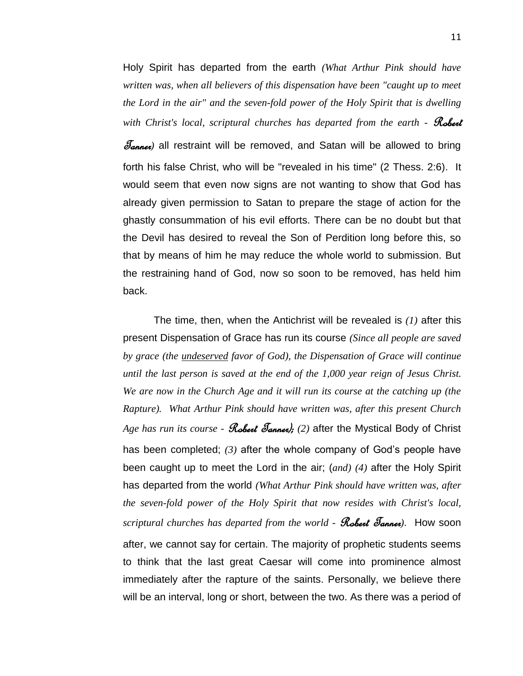Holy Spirit has departed from the earth *(What Arthur Pink should have written was, when all believers of this dispensation have been "caught up to meet the Lord in the air" and the seven-fold power of the Holy Spirit that is dwelling*  with Christ's local, scriptural churches has departed from the earth - **Robert** 

Tanner*)* all restraint will be removed, and Satan will be allowed to bring forth his false Christ, who will be "revealed in his time" (2 Thess. 2:6). It would seem that even now signs are not wanting to show that God has already given permission to Satan to prepare the stage of action for the ghastly consummation of his evil efforts. There can be no doubt but that the Devil has desired to reveal the Son of Perdition long before this, so that by means of him he may reduce the whole world to submission. But the restraining hand of God, now so soon to be removed, has held him back.

The time, then, when the Antichrist will be revealed is *(1)* after this present Dispensation of Grace has run its course *(Since all people are saved by grace (the undeserved favor of God), the Dispensation of Grace will continue until the last person is saved at the end of the 1,000 year reign of Jesus Christ. We are now in the Church Age and it will run its course at the catching up (the Rapture). What Arthur Pink should have written was, after this present Church Age has run its course - Robert Janner)*; (2) after the Mystical Body of Christ has been completed; *(3)* after the whole company of God's people have been caught up to meet the Lord in the air; (*and) (4)* after the Holy Spirit has departed from the world *(What Arthur Pink should have written was, after the seven-fold power of the Holy Spirit that now resides with Christ's local, scriptural churches has departed from the world -* Robert Tanner*)*. How soon after, we cannot say for certain. The majority of prophetic students seems to think that the last great Caesar will come into prominence almost immediately after the rapture of the saints. Personally, we believe there will be an interval, long or short, between the two. As there was a period of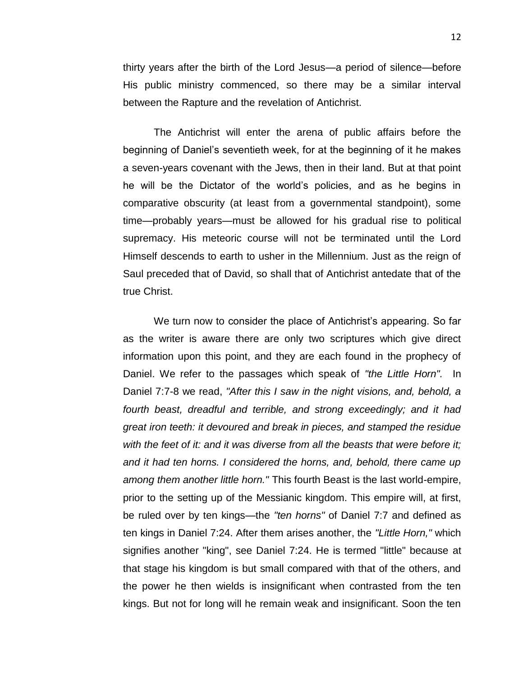thirty years after the birth of the Lord Jesus—a period of silence—before His public ministry commenced, so there may be a similar interval between the Rapture and the revelation of Antichrist.

The Antichrist will enter the arena of public affairs before the beginning of Daniel's seventieth week, for at the beginning of it he makes a seven-years covenant with the Jews, then in their land. But at that point he will be the Dictator of the world's policies, and as he begins in comparative obscurity (at least from a governmental standpoint), some time—probably years—must be allowed for his gradual rise to political supremacy. His meteoric course will not be terminated until the Lord Himself descends to earth to usher in the Millennium. Just as the reign of Saul preceded that of David, so shall that of Antichrist antedate that of the true Christ.

We turn now to consider the place of Antichrist's appearing. So far as the writer is aware there are only two scriptures which give direct information upon this point, and they are each found in the prophecy of Daniel. We refer to the passages which speak of *"the Little Horn".* In Daniel 7:7-8 we read, *"After this I saw in the night visions, and, behold, a fourth beast, dreadful and terrible, and strong exceedingly; and it had great iron teeth: it devoured and break in pieces, and stamped the residue with the feet of it: and it was diverse from all the beasts that were before it; and it had ten horns. I considered the horns, and, behold, there came up among them another little horn."* This fourth Beast is the last world-empire, prior to the setting up of the Messianic kingdom. This empire will, at first, be ruled over by ten kings—the *"ten horns"* of Daniel 7:7 and defined as ten kings in Daniel 7:24. After them arises another, the *"Little Horn,"* which signifies another "king", see Daniel 7:24. He is termed "little" because at that stage his kingdom is but small compared with that of the others, and the power he then wields is insignificant when contrasted from the ten kings. But not for long will he remain weak and insignificant. Soon the ten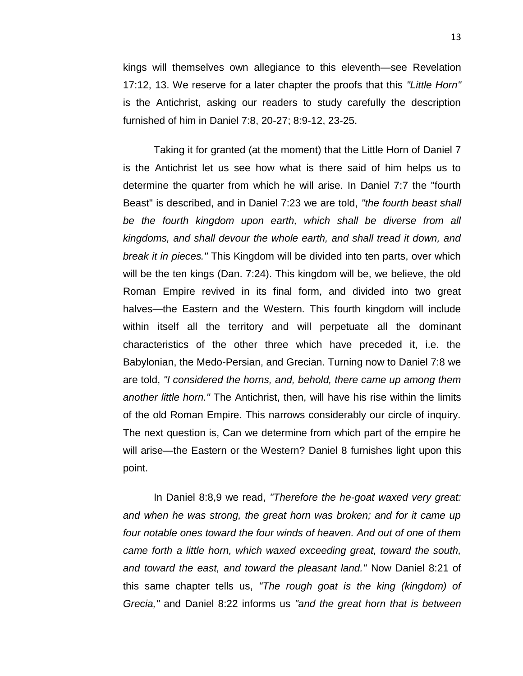kings will themselves own allegiance to this eleventh—see Revelation 17:12, 13. We reserve for a later chapter the proofs that this *"Little Horn"* is the Antichrist, asking our readers to study carefully the description furnished of him in Daniel 7:8, 20-27; 8:9-12, 23-25.

Taking it for granted (at the moment) that the Little Horn of Daniel 7 is the Antichrist let us see how what is there said of him helps us to determine the quarter from which he will arise. In Daniel 7:7 the "fourth Beast" is described, and in Daniel 7:23 we are told, *"the fourth beast shall*  be the fourth kingdom upon earth, which shall be diverse from all *kingdoms, and shall devour the whole earth, and shall tread it down, and break it in pieces."* This Kingdom will be divided into ten parts, over which will be the ten kings (Dan. 7:24). This kingdom will be, we believe, the old Roman Empire revived in its final form, and divided into two great halves—the Eastern and the Western. This fourth kingdom will include within itself all the territory and will perpetuate all the dominant characteristics of the other three which have preceded it, i.e. the Babylonian, the Medo-Persian, and Grecian. Turning now to Daniel 7:8 we are told, *"I considered the horns, and, behold, there came up among them another little horn."* The Antichrist, then, will have his rise within the limits of the old Roman Empire. This narrows considerably our circle of inquiry. The next question is, Can we determine from which part of the empire he will arise—the Eastern or the Western? Daniel 8 furnishes light upon this point.

In Daniel 8:8,9 we read, *"Therefore the he-goat waxed very great: and when he was strong, the great horn was broken; and for it came up four notable ones toward the four winds of heaven. And out of one of them came forth a little horn, which waxed exceeding great, toward the south, and toward the east, and toward the pleasant land."* Now Daniel 8:21 of this same chapter tells us, *"The rough goat is the king (kingdom) of Grecia,"* and Daniel 8:22 informs us *"and the great horn that is between*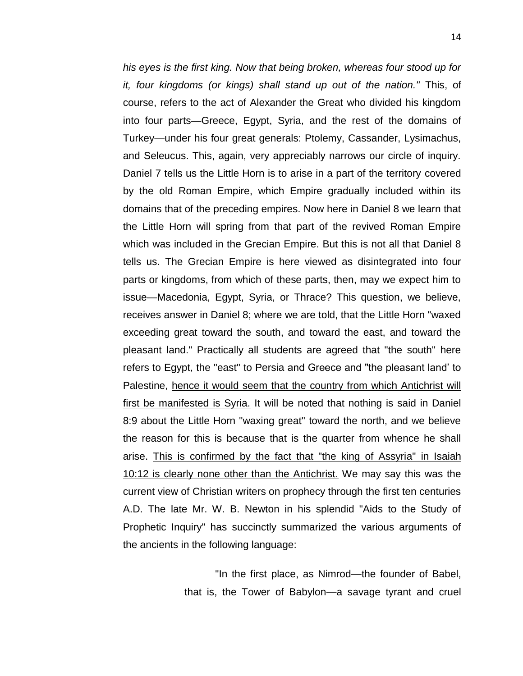*his eyes is the first king. Now that being broken, whereas four stood up for it, four kingdoms (or kings) shall stand up out of the nation."* This, of course, refers to the act of Alexander the Great who divided his kingdom into four parts—Greece, Egypt, Syria, and the rest of the domains of Turkey—under his four great generals: Ptolemy, Cassander, Lysimachus, and Seleucus. This, again, very appreciably narrows our circle of inquiry. Daniel 7 tells us the Little Horn is to arise in a part of the territory covered by the old Roman Empire, which Empire gradually included within its domains that of the preceding empires. Now here in Daniel 8 we learn that the Little Horn will spring from that part of the revived Roman Empire which was included in the Grecian Empire. But this is not all that Daniel 8 tells us. The Grecian Empire is here viewed as disintegrated into four parts or kingdoms, from which of these parts, then, may we expect him to issue—Macedonia, Egypt, Syria, or Thrace? This question, we believe, receives answer in Daniel 8; where we are told, that the Little Horn "waxed exceeding great toward the south, and toward the east, and toward the pleasant land." Practically all students are agreed that "the south" here refers to Egypt, the "east" to Persia and Greece and "the pleasant land' to Palestine, hence it would seem that the country from which Antichrist will first be manifested is Syria. It will be noted that nothing is said in Daniel 8:9 about the Little Horn "waxing great" toward the north, and we believe the reason for this is because that is the quarter from whence he shall arise. This is confirmed by the fact that "the king of Assyria" in Isaiah 10:12 is clearly none other than the Antichrist. We may say this was the current view of Christian writers on prophecy through the first ten centuries A.D. The late Mr. W. B. Newton in his splendid "Aids to the Study of Prophetic Inquiry" has succinctly summarized the various arguments of the ancients in the following language:

> "In the first place, as Nimrod—the founder of Babel, that is, the Tower of Babylon—a savage tyrant and cruel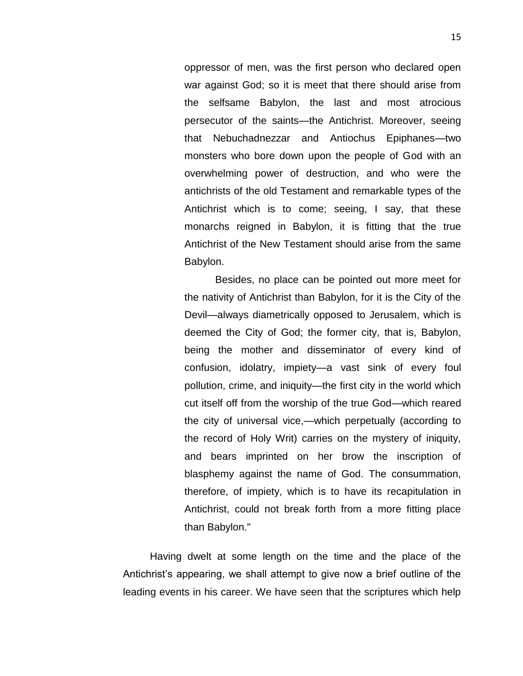oppressor of men, was the first person who declared open war against God; so it is meet that there should arise from the selfsame Babylon, the last and most atrocious persecutor of the saints—the Antichrist. Moreover, seeing that Nebuchadnezzar and Antiochus Epiphanes—two monsters who bore down upon the people of God with an overwhelming power of destruction, and who were the antichrists of the old Testament and remarkable types of the Antichrist which is to come; seeing, I say, that these monarchs reigned in Babylon, it is fitting that the true Antichrist of the New Testament should arise from the same Babylon.

Besides, no place can be pointed out more meet for the nativity of Antichrist than Babylon, for it is the City of the Devil—always diametrically opposed to Jerusalem, which is deemed the City of God; the former city, that is, Babylon, being the mother and disseminator of every kind of confusion, idolatry, impiety—a vast sink of every foul pollution, crime, and iniquity—the first city in the world which cut itself off from the worship of the true God—which reared the city of universal vice,—which perpetually (according to the record of Holy Writ) carries on the mystery of iniquity, and bears imprinted on her brow the inscription of blasphemy against the name of God. The consummation, therefore, of impiety, which is to have its recapitulation in Antichrist, could not break forth from a more fitting place than Babylon."

Having dwelt at some length on the time and the place of the Antichrist's appearing, we shall attempt to give now a brief outline of the leading events in his career. We have seen that the scriptures which help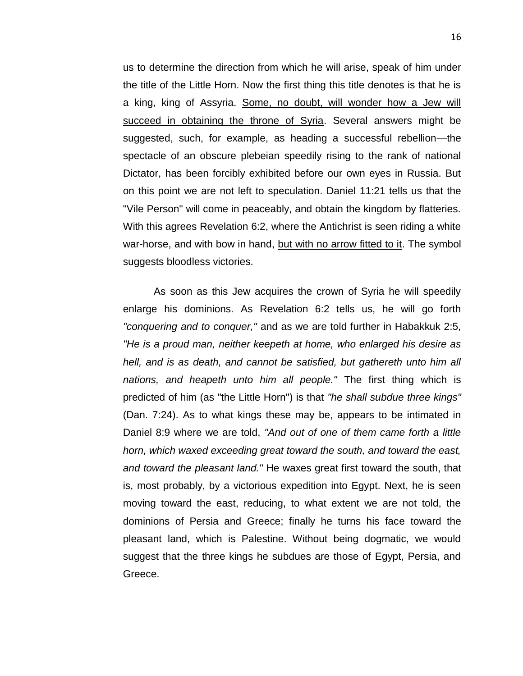us to determine the direction from which he will arise, speak of him under the title of the Little Horn. Now the first thing this title denotes is that he is a king, king of Assyria. Some, no doubt, will wonder how a Jew will succeed in obtaining the throne of Syria. Several answers might be suggested, such, for example, as heading a successful rebellion—the spectacle of an obscure plebeian speedily rising to the rank of national Dictator, has been forcibly exhibited before our own eyes in Russia. But on this point we are not left to speculation. Daniel 11:21 tells us that the "Vile Person" will come in peaceably, and obtain the kingdom by flatteries. With this agrees Revelation 6:2, where the Antichrist is seen riding a white war-horse, and with bow in hand, but with no arrow fitted to it. The symbol suggests bloodless victories.

As soon as this Jew acquires the crown of Syria he will speedily enlarge his dominions. As Revelation 6:2 tells us, he will go forth *"conquering and to conquer,"* and as we are told further in Habakkuk 2:5, *"He is a proud man, neither keepeth at home, who enlarged his desire as hell, and is as death, and cannot be satisfied, but gathereth unto him all nations, and heapeth unto him all people."* The first thing which is predicted of him (as "the Little Horn") is that *"he shall subdue three kings"* (Dan. 7:24). As to what kings these may be, appears to be intimated in Daniel 8:9 where we are told, *"And out of one of them came forth a little horn, which waxed exceeding great toward the south, and toward the east, and toward the pleasant land."* He waxes great first toward the south, that is, most probably, by a victorious expedition into Egypt. Next, he is seen moving toward the east, reducing, to what extent we are not told, the dominions of Persia and Greece; finally he turns his face toward the pleasant land, which is Palestine. Without being dogmatic, we would suggest that the three kings he subdues are those of Egypt, Persia, and Greece.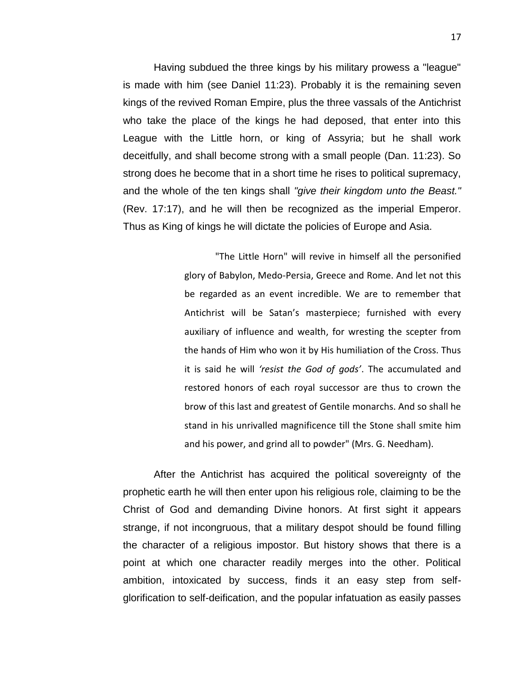Having subdued the three kings by his military prowess a "league" is made with him (see Daniel 11:23). Probably it is the remaining seven kings of the revived Roman Empire, plus the three vassals of the Antichrist who take the place of the kings he had deposed, that enter into this League with the Little horn, or king of Assyria; but he shall work deceitfully, and shall become strong with a small people (Dan. 11:23). So strong does he become that in a short time he rises to political supremacy, and the whole of the ten kings shall *"give their kingdom unto the Beast."* (Rev. 17:17), and he will then be recognized as the imperial Emperor. Thus as King of kings he will dictate the policies of Europe and Asia.

> "The Little Horn" will revive in himself all the personified glory of Babylon, Medo-Persia, Greece and Rome. And let not this be regarded as an event incredible. We are to remember that Antichrist will be Satan's masterpiece; furnished with every auxiliary of influence and wealth, for wresting the scepter from the hands of Him who won it by His humiliation of the Cross. Thus it is said he will *'resist the God of gods'*. The accumulated and restored honors of each royal successor are thus to crown the brow of this last and greatest of Gentile monarchs. And so shall he stand in his unrivalled magnificence till the Stone shall smite him and his power, and grind all to powder" (Mrs. G. Needham).

After the Antichrist has acquired the political sovereignty of the prophetic earth he will then enter upon his religious role, claiming to be the Christ of God and demanding Divine honors. At first sight it appears strange, if not incongruous, that a military despot should be found filling the character of a religious impostor. But history shows that there is a point at which one character readily merges into the other. Political ambition, intoxicated by success, finds it an easy step from selfglorification to self-deification, and the popular infatuation as easily passes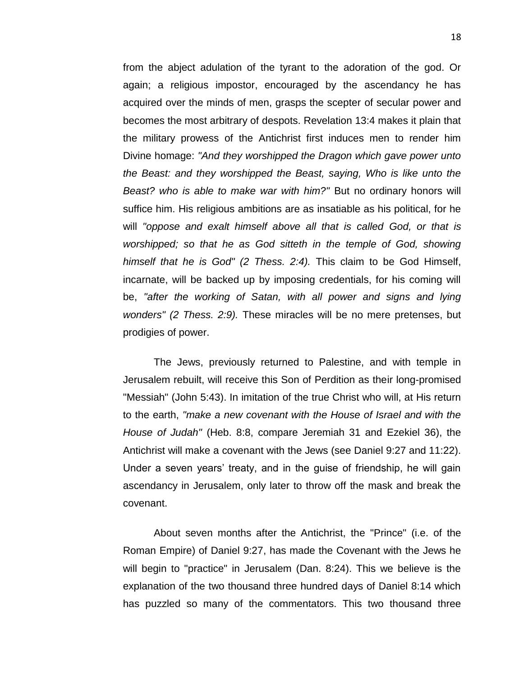from the abject adulation of the tyrant to the adoration of the god. Or again; a religious impostor, encouraged by the ascendancy he has acquired over the minds of men, grasps the scepter of secular power and becomes the most arbitrary of despots. Revelation 13:4 makes it plain that the military prowess of the Antichrist first induces men to render him Divine homage: *"And they worshipped the Dragon which gave power unto the Beast: and they worshipped the Beast, saying, Who is like unto the Beast? who is able to make war with him?"* But no ordinary honors will suffice him. His religious ambitions are as insatiable as his political, for he will *"oppose and exalt himself above all that is called God, or that is worshipped; so that he as God sitteth in the temple of God, showing himself that he is God" (2 Thess. 2:4).* This claim to be God Himself, incarnate, will be backed up by imposing credentials, for his coming will be, "after the working of Satan, with all power and signs and lying *wonders" (2 Thess. 2:9).* These miracles will be no mere pretenses, but prodigies of power.

The Jews, previously returned to Palestine, and with temple in Jerusalem rebuilt, will receive this Son of Perdition as their long-promised "Messiah" (John 5:43). In imitation of the true Christ who will, at His return to the earth, *"make a new covenant with the House of Israel and with the House of Judah"* (Heb. 8:8, compare Jeremiah 31 and Ezekiel 36), the Antichrist will make a covenant with the Jews (see Daniel 9:27 and 11:22). Under a seven years' treaty, and in the guise of friendship, he will gain ascendancy in Jerusalem, only later to throw off the mask and break the covenant.

About seven months after the Antichrist, the "Prince" (i.e. of the Roman Empire) of Daniel 9:27, has made the Covenant with the Jews he will begin to "practice" in Jerusalem (Dan. 8:24). This we believe is the explanation of the two thousand three hundred days of Daniel 8:14 which has puzzled so many of the commentators. This two thousand three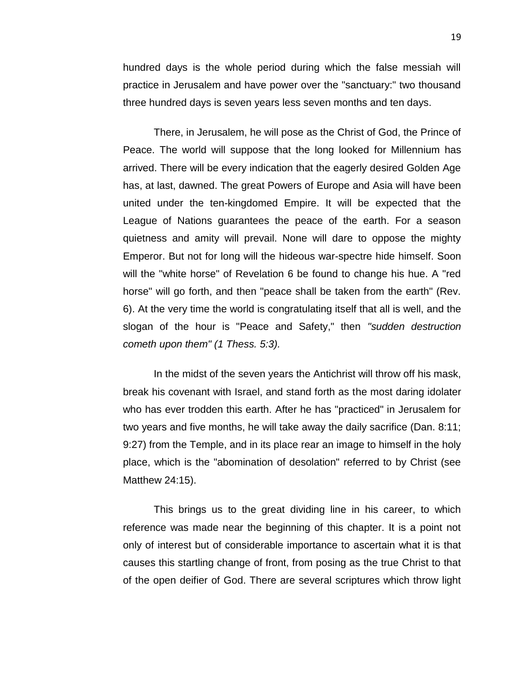hundred days is the whole period during which the false messiah will practice in Jerusalem and have power over the "sanctuary:" two thousand three hundred days is seven years less seven months and ten days.

There, in Jerusalem, he will pose as the Christ of God, the Prince of Peace. The world will suppose that the long looked for Millennium has arrived. There will be every indication that the eagerly desired Golden Age has, at last, dawned. The great Powers of Europe and Asia will have been united under the ten-kingdomed Empire. It will be expected that the League of Nations guarantees the peace of the earth. For a season quietness and amity will prevail. None will dare to oppose the mighty Emperor. But not for long will the hideous war-spectre hide himself. Soon will the "white horse" of Revelation 6 be found to change his hue. A "red horse" will go forth, and then "peace shall be taken from the earth" (Rev. 6). At the very time the world is congratulating itself that all is well, and the slogan of the hour is "Peace and Safety," then *"sudden destruction cometh upon them" (1 Thess. 5:3).*

In the midst of the seven years the Antichrist will throw off his mask, break his covenant with Israel, and stand forth as the most daring idolater who has ever trodden this earth. After he has "practiced" in Jerusalem for two years and five months, he will take away the daily sacrifice (Dan. 8:11; 9:27) from the Temple, and in its place rear an image to himself in the holy place, which is the "abomination of desolation" referred to by Christ (see Matthew 24:15).

This brings us to the great dividing line in his career, to which reference was made near the beginning of this chapter. It is a point not only of interest but of considerable importance to ascertain what it is that causes this startling change of front, from posing as the true Christ to that of the open deifier of God. There are several scriptures which throw light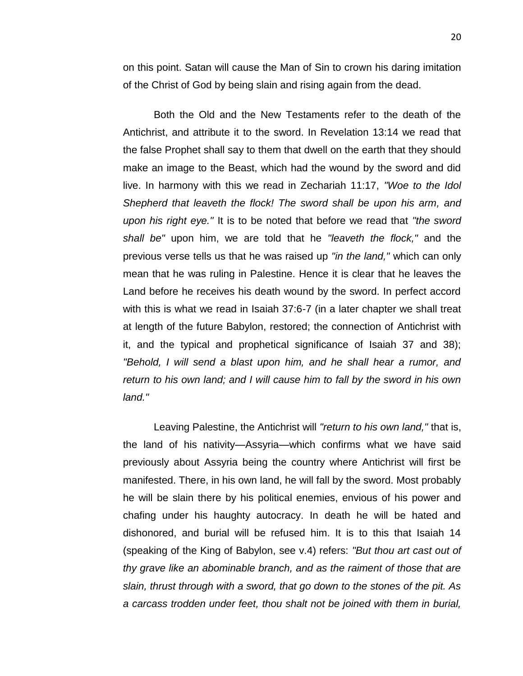on this point. Satan will cause the Man of Sin to crown his daring imitation of the Christ of God by being slain and rising again from the dead.

Both the Old and the New Testaments refer to the death of the Antichrist, and attribute it to the sword. In Revelation 13:14 we read that the false Prophet shall say to them that dwell on the earth that they should make an image to the Beast, which had the wound by the sword and did live. In harmony with this we read in Zechariah 11:17, *"Woe to the Idol Shepherd that leaveth the flock! The sword shall be upon his arm, and upon his right eye."* It is to be noted that before we read that *"the sword shall be"* upon him, we are told that he *"leaveth the flock,"* and the previous verse tells us that he was raised up *"in the land,"* which can only mean that he was ruling in Palestine. Hence it is clear that he leaves the Land before he receives his death wound by the sword. In perfect accord with this is what we read in Isaiah 37:6-7 (in a later chapter we shall treat at length of the future Babylon, restored; the connection of Antichrist with it, and the typical and prophetical significance of Isaiah 37 and 38); *"Behold, I will send a blast upon him, and he shall hear a rumor, and return to his own land; and I will cause him to fall by the sword in his own land."*

Leaving Palestine, the Antichrist will *"return to his own land,"* that is, the land of his nativity—Assyria—which confirms what we have said previously about Assyria being the country where Antichrist will first be manifested. There, in his own land, he will fall by the sword. Most probably he will be slain there by his political enemies, envious of his power and chafing under his haughty autocracy. In death he will be hated and dishonored, and burial will be refused him. It is to this that Isaiah 14 (speaking of the King of Babylon, see v.4) refers: *"But thou art cast out of thy grave like an abominable branch, and as the raiment of those that are slain, thrust through with a sword, that go down to the stones of the pit. As a carcass trodden under feet, thou shalt not be joined with them in burial,*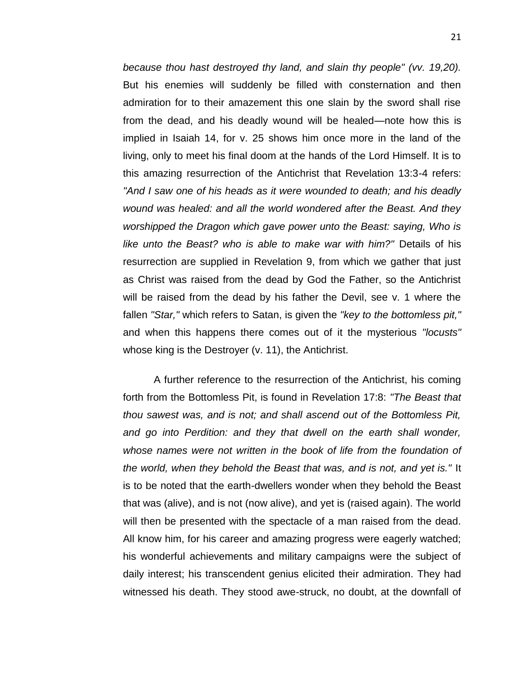*because thou hast destroyed thy land, and slain thy people" (vv. 19,20).* But his enemies will suddenly be filled with consternation and then admiration for to their amazement this one slain by the sword shall rise from the dead, and his deadly wound will be healed—note how this is implied in Isaiah 14, for v. 25 shows him once more in the land of the living, only to meet his final doom at the hands of the Lord Himself. It is to this amazing resurrection of the Antichrist that Revelation 13:3-4 refers: *"And I saw one of his heads as it were wounded to death; and his deadly wound was healed: and all the world wondered after the Beast. And they worshipped the Dragon which gave power unto the Beast: saying, Who is like unto the Beast? who is able to make war with him?"* Details of his resurrection are supplied in Revelation 9, from which we gather that just as Christ was raised from the dead by God the Father, so the Antichrist will be raised from the dead by his father the Devil, see v. 1 where the fallen *"Star,"* which refers to Satan, is given the *"key to the bottomless pit,"* and when this happens there comes out of it the mysterious *"locusts"* whose king is the Destroyer (v. 11), the Antichrist.

A further reference to the resurrection of the Antichrist, his coming forth from the Bottomless Pit, is found in Revelation 17:8: *"The Beast that thou sawest was, and is not; and shall ascend out of the Bottomless Pit, and go into Perdition: and they that dwell on the earth shall wonder,*  whose names were not written in the book of life from the foundation of *the world, when they behold the Beast that was, and is not, and yet is."* It is to be noted that the earth-dwellers wonder when they behold the Beast that was (alive), and is not (now alive), and yet is (raised again). The world will then be presented with the spectacle of a man raised from the dead. All know him, for his career and amazing progress were eagerly watched; his wonderful achievements and military campaigns were the subject of daily interest; his transcendent genius elicited their admiration. They had witnessed his death. They stood awe-struck, no doubt, at the downfall of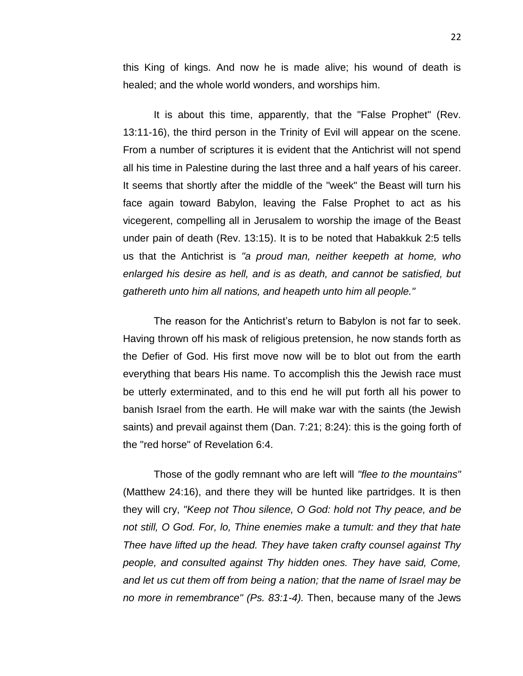this King of kings. And now he is made alive; his wound of death is healed; and the whole world wonders, and worships him.

It is about this time, apparently, that the "False Prophet" (Rev. 13:11-16), the third person in the Trinity of Evil will appear on the scene. From a number of scriptures it is evident that the Antichrist will not spend all his time in Palestine during the last three and a half years of his career. It seems that shortly after the middle of the "week" the Beast will turn his face again toward Babylon, leaving the False Prophet to act as his vicegerent, compelling all in Jerusalem to worship the image of the Beast under pain of death (Rev. 13:15). It is to be noted that Habakkuk 2:5 tells us that the Antichrist is *"a proud man, neither keepeth at home, who enlarged his desire as hell, and is as death, and cannot be satisfied, but gathereth unto him all nations, and heapeth unto him all people."*

The reason for the Antichrist's return to Babylon is not far to seek. Having thrown off his mask of religious pretension, he now stands forth as the Defier of God. His first move now will be to blot out from the earth everything that bears His name. To accomplish this the Jewish race must be utterly exterminated, and to this end he will put forth all his power to banish Israel from the earth. He will make war with the saints (the Jewish saints) and prevail against them (Dan. 7:21; 8:24): this is the going forth of the "red horse" of Revelation 6:4.

Those of the godly remnant who are left will *"flee to the mountains"* (Matthew 24:16), and there they will be hunted like partridges. It is then they will cry, *"Keep not Thou silence, O God: hold not Thy peace, and be not still, O God. For, lo, Thine enemies make a tumult: and they that hate Thee have lifted up the head. They have taken crafty counsel against Thy people, and consulted against Thy hidden ones. They have said, Come, and let us cut them off from being a nation; that the name of Israel may be no more in remembrance" (Ps. 83:1-4).* Then, because many of the Jews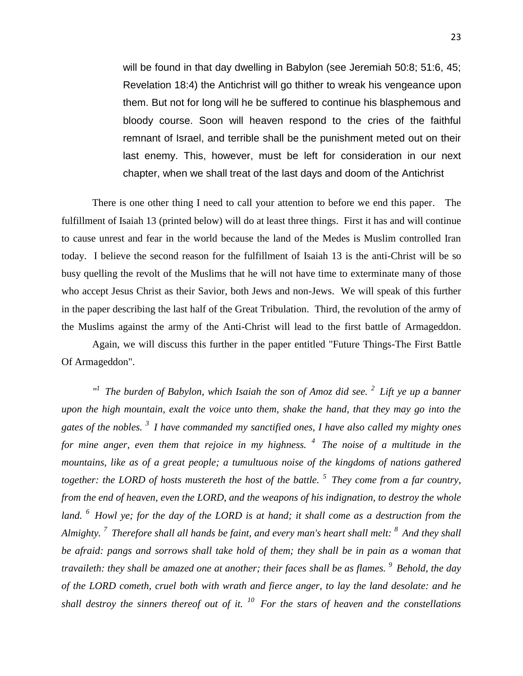will be found in that day dwelling in Babylon (see Jeremiah 50:8; 51:6, 45; Revelation 18:4) the Antichrist will go thither to wreak his vengeance upon them. But not for long will he be suffered to continue his blasphemous and bloody course. Soon will heaven respond to the cries of the faithful remnant of Israel, and terrible shall be the punishment meted out on their last enemy. This, however, must be left for consideration in our next chapter, when we shall treat of the last days and doom of the Antichrist

There is one other thing I need to call your attention to before we end this paper. The fulfillment of Isaiah 13 (printed below) will do at least three things. First it has and will continue to cause unrest and fear in the world because the land of the Medes is Muslim controlled Iran today. I believe the second reason for the fulfillment of Isaiah 13 is the anti-Christ will be so busy quelling the revolt of the Muslims that he will not have time to exterminate many of those who accept Jesus Christ as their Savior, both Jews and non-Jews. We will speak of this further in the paper describing the last half of the Great Tribulation. Third, the revolution of the army of the Muslims against the army of the Anti-Christ will lead to the first battle of Armageddon.

Again, we will discuss this further in the paper entitled "Future Things-The First Battle Of Armageddon".

<sup>*n*</sup> *The burden of Babylon, which Isaiah the son of Amoz did see.* <sup>2</sup> *Lift ye up a banner upon the high mountain, exalt the voice unto them, shake the hand, that they may go into the gates of the nobles. <sup>3</sup>I have commanded my sanctified ones, I have also called my mighty ones for mine anger, even them that rejoice in my highness. <sup>4</sup>The noise of a multitude in the mountains, like as of a great people; a tumultuous noise of the kingdoms of nations gathered together: the LORD of hosts mustereth the host of the battle. <sup>5</sup>They come from a far country, from the end of heaven, even the LORD, and the weapons of his indignation, to destroy the whole land. <sup>6</sup>Howl ye; for the day of the LORD is at hand; it shall come as a destruction from the Almighty. <sup>7</sup>Therefore shall all hands be faint, and every man's heart shall melt: <sup>8</sup>And they shall be afraid: pangs and sorrows shall take hold of them; they shall be in pain as a woman that travaileth: they shall be amazed one at another; their faces shall be as flames. <sup>9</sup>Behold, the day of the LORD cometh, cruel both with wrath and fierce anger, to lay the land desolate: and he shall destroy the sinners thereof out of it. <sup>10</sup>For the stars of heaven and the constellations*